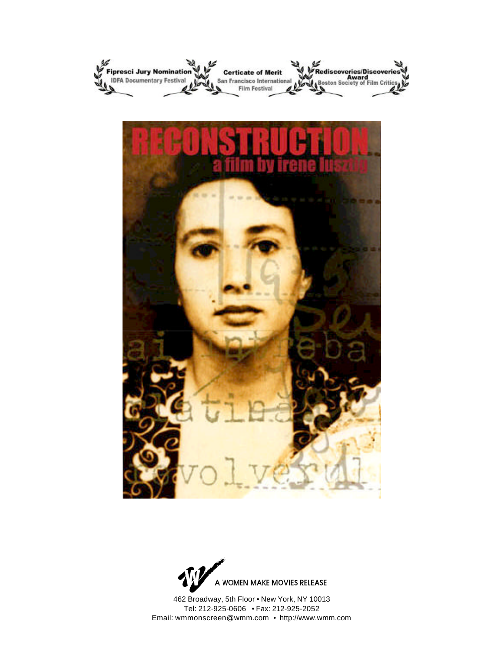



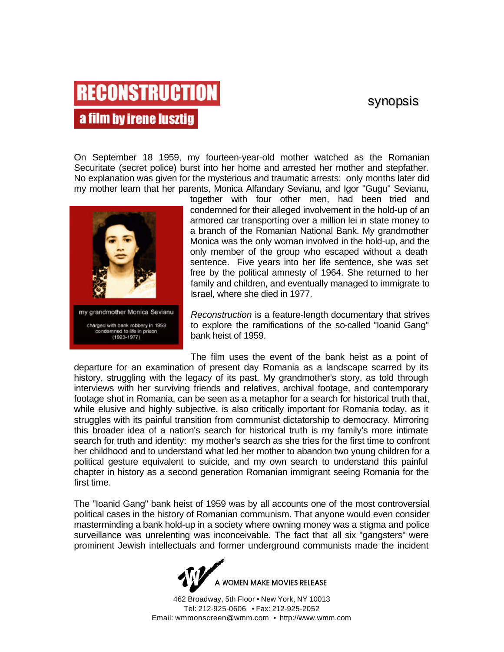### synopsis

## **RECONSTRUCTION** a film by irene lusztig

On September 18 1959, my fourteen-year-old mother watched as the Romanian Securitate (secret police) burst into her home and arrested her mother and stepfather. No explanation was given for the mysterious and traumatic arrests: only months later did my mother learn that her parents, Monica Alfandary Sevianu, and Igor "Gugu" Sevianu,



together with four other men, had been tried and condemned for their alleged involvement in the hold-up of an armored car transporting over a million lei in state money to a branch of the Romanian National Bank. My grandmother Monica was the only woman involved in the hold-up, and the only member of the group who escaped without a death sentence. Five years into her life sentence, she was set free by the political amnesty of 1964. She returned to her family and children, and eventually managed to immigrate to Israel, where she died in 1977.

*Reconstruction* is a feature-length documentary that strives to explore the ramifications of the so-called "Ioanid Gang" bank heist of 1959.

The film uses the event of the bank heist as a point of departure for an examination of present day Romania as a landscape scarred by its history, struggling with the legacy of its past. My grandmother's story, as told through interviews with her surviving friends and relatives, archival footage, and contemporary footage shot in Romania, can be seen as a metaphor for a search for historical truth that, while elusive and highly subjective, is also critically important for Romania today, as it struggles with its painful transition from communist dictatorship to democracy. Mirroring this broader idea of a nation's search for historical truth is my family's more intimate search for truth and identity: my mother's search as she tries for the first time to confront her childhood and to understand what led her mother to abandon two young children for a political gesture equivalent to suicide, and my own search to understand this painful chapter in history as a second generation Romanian immigrant seeing Romania for the first time.

The "Ioanid Gang" bank heist of 1959 was by all accounts one of the most controversial political cases in the history of Romanian communism. That anyone would even consider masterminding a bank hold-up in a society where owning money was a stigma and police surveillance was unrelenting was inconceivable. The fact that all six "gangsters" were prominent Jewish intellectuals and former underground communists made the incident

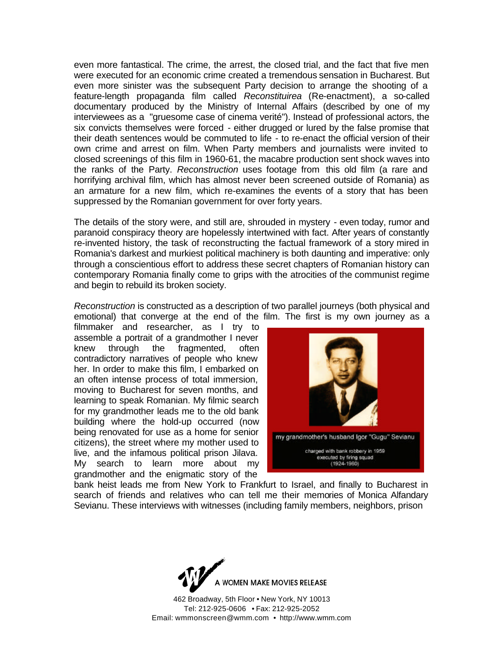even more fantastical. The crime, the arrest, the closed trial, and the fact that five men were executed for an economic crime created a tremendous sensation in Bucharest. But even more sinister was the subsequent Party decision to arrange the shooting of a feature-length propaganda film called *Reconstituirea* (Re-enactment), a so-called documentary produced by the Ministry of Internal Affairs (described by one of my interviewees as a "gruesome case of cinema verité"). Instead of professional actors, the six convicts themselves were forced - either drugged or lured by the false promise that their death sentences would be commuted to life - to re-enact the official version of their own crime and arrest on film. When Party members and journalists were invited to closed screenings of this film in 1960-61, the macabre production sent shock waves into the ranks of the Party. *Reconstruction* uses footage from this old film (a rare and horrifying archival film, which has almost never been screened outside of Romania) as an armature for a new film, which re-examines the events of a story that has been suppressed by the Romanian government for over forty years.

The details of the story were, and still are, shrouded in mystery - even today, rumor and paranoid conspiracy theory are hopelessly intertwined with fact. After years of constantly re-invented history, the task of reconstructing the factual framework of a story mired in Romania's darkest and murkiest political machinery is both daunting and imperative: only through a conscientious effort to address these secret chapters of Romanian history can contemporary Romania finally come to grips with the atrocities of the communist regime and begin to rebuild its broken society.

*Reconstruction* is constructed as a description of two parallel journeys (both physical and emotional) that converge at the end of the film. The first is my own journey as a

filmmaker and researcher, as I try to assemble a portrait of a grandmother I never knew through the fragmented, often contradictory narratives of people who knew her. In order to make this film, I embarked on an often intense process of total immersion, moving to Bucharest for seven months, and learning to speak Romanian. My filmic search for my grandmother leads me to the old bank building where the hold-up occurred (now being renovated for use as a home for senior citizens), the street where my mother used to live, and the infamous political prison Jilava. My search to learn more about my grandmother and the enigmatic story of the



bank heist leads me from New York to Frankfurt to Israel, and finally to Bucharest in search of friends and relatives who can tell me their memories of Monica Alfandary Sevianu. These interviews with witnesses (including family members, neighbors, prison

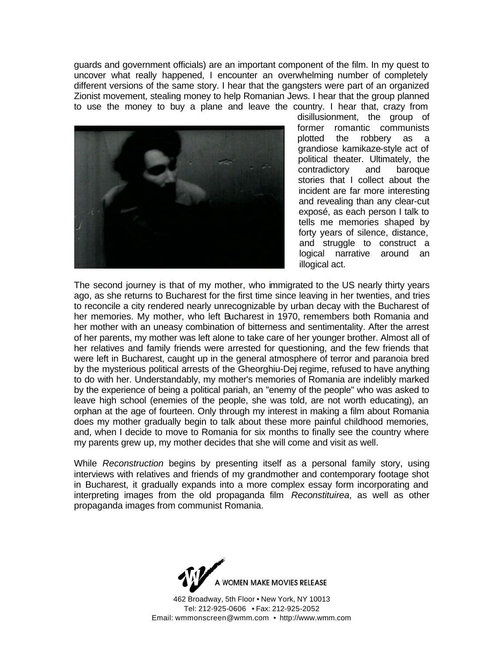guards and government officials) are an important component of the film. In my quest to uncover what really happened, I encounter an overwhelming number of completely different versions of the same story. I hear that the gangsters were part of an organized Zionist movement, stealing money to help Romanian Jews. I hear that the group planned to use the money to buy a plane and leave the country. I hear that, crazy from



disillusionment, the group of former romantic communists plotted the robbery as a grandiose kamikaze-style act of political theater. Ultimately, the contradictory and baroque stories that I collect about the incident are far more interesting and revealing than any clear-cut exposé, as each person I talk to tells me memories shaped by forty years of silence, distance, and struggle to construct a logical narrative around an illogical act.

The second journey is that of my mother, who immigrated to the US nearly thirty years ago, as she returns to Bucharest for the first time since leaving in her twenties, and tries to reconcile a city rendered nearly unrecognizable by urban decay with the Bucharest of her memories. My mother, who left Bucharest in 1970, remembers both Romania and her mother with an uneasy combination of bitterness and sentimentality. After the arrest of her parents, my mother was left alone to take care of her younger brother. Almost all of her relatives and family friends were arrested for questioning, and the few friends that were left in Bucharest, caught up in the general atmosphere of terror and paranoia bred by the mysterious political arrests of the Gheorghiu-Dej regime, refused to have anything to do with her. Understandably, my mother's memories of Romania are indelibly marked by the experience of being a political pariah, an "enemy of the people" who was asked to leave high school (enemies of the people, she was told, are not worth educating), an orphan at the age of fourteen. Only through my interest in making a film about Romania does my mother gradually begin to talk about these more painful childhood memories, and, when I decide to move to Romania for six months to finally see the country where my parents grew up, my mother decides that she will come and visit as well.

While *Reconstruction* begins by presenting itself as a personal family story, using interviews with relatives and friends of my grandmother and contemporary footage shot in Bucharest, it gradually expands into a more complex essay form incorporating and interpreting images from the old propaganda film *Reconstituirea*, as well as other propaganda images from communist Romania.

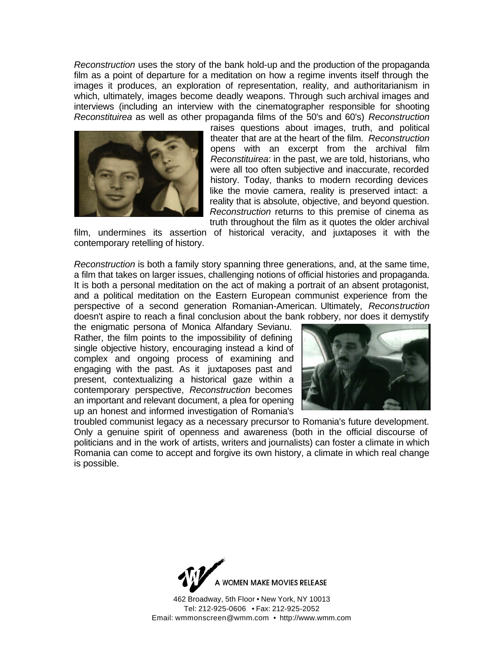*Reconstruction* uses the story of the bank hold-up and the production of the propaganda film as a point of departure for a meditation on how a regime invents itself through the images it produces, an exploration of representation, reality, and authoritarianism in which, ultimately, images become deadly weapons. Through such archival images and interviews (including an interview with the cinematographer responsible for shooting *Reconstituirea* as well as other propaganda films of the 50's and 60's) *Reconstruction* 



raises questions about images, truth, and political theater that are at the heart of the film. *Reconstruction*  opens with an excerpt from the archival film *Reconstituirea*: in the past, we are told, historians, who were all too often subjective and inaccurate, recorded history. Today, thanks to modern recording devices like the movie camera, reality is preserved intact: a reality that is absolute, objective, and beyond question. *Reconstruction* returns to this premise of cinema as truth throughout the film as it quotes the older archival

film, undermines its assertion of historical veracity, and juxtaposes it with the contemporary retelling of history.

*Reconstruction* is both a family story spanning three generations, and, at the same time, a film that takes on larger issues, challenging notions of official histories and propaganda. It is both a personal meditation on the act of making a portrait of an absent protagonist, and a political meditation on the Eastern European communist experience from the perspective of a second generation Romanian-American. Ultimately, *Reconstruction* doesn't aspire to reach a final conclusion about the bank robbery, nor does it demystify

the enigmatic persona of Monica Alfandary Sevianu. Rather, the film points to the impossibility of defining single objective history, encouraging instead a kind of complex and ongoing process of examining and engaging with the past. As it juxtaposes past and present, contextualizing a historical gaze within a contemporary perspective, *Reconstruction* becomes an important and relevant document, a plea for opening up an honest and informed investigation of Romania's



troubled communist legacy as a necessary precursor to Romania's future development. Only a genuine spirit of openness and awareness (both in the official discourse of politicians and in the work of artists, writers and journalists) can foster a climate in which Romania can come to accept and forgive its own history, a climate in which real change is possible.

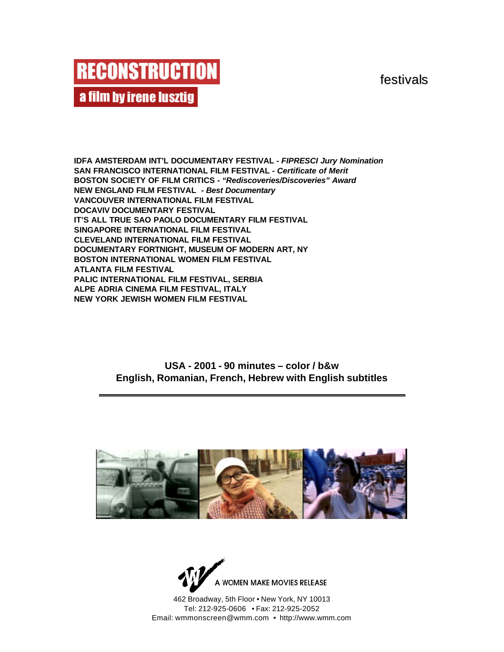festivals



**IDFA AMSTERDAM INT'L DOCUMENTARY FESTIVAL** *- FIPRESCI Jury Nomination* **SAN FRANCISCO INTERNATIONAL FILM FESTIVAL** *- Certificate of Merit* **BOSTON SOCIETY OF FILM CRITICS -** *"Rediscoveries/Discoveries" Award* **NEW ENGLAND FILM FESTIVAL** *- Best Documentary* **VANCOUVER INTERNATIONAL FILM FESTIVAL DOCAVIV DOCUMENTARY FESTIVAL IT'S ALL TRUE SAO PAOLO DOCUMENTARY FILM FESTIVAL SINGAPORE INTERNATIONAL FILM FESTIVAL CLEVELAND INTERNATIONAL FILM FESTIVAL DOCUMENTARY FORTNIGHT, MUSEUM OF MODERN ART, NY BOSTON INTERNATIONAL WOMEN FILM FESTIVAL ATLANTA FILM FESTIVAL PALIC INTERNATIONAL FILM FESTIVAL, SERBIA ALPE ADRIA CINEMA FILM FESTIVAL, ITALY NEW YORK JEWISH WOMEN FILM FESTIVAL**

> **USA - 2001 - 90 minutes – color / b&w English, Romanian, French, Hebrew with English subtitles**



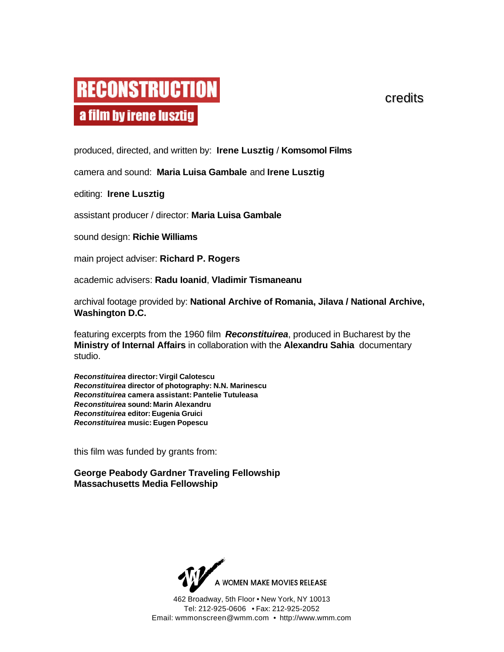# **RECONSTRUCTION** a film by irene lusztig

credits

produced, directed, and written by: **Irene Lusztig** / **Komsomol Films**

camera and sound: **Maria Luisa Gambale** and **Irene Lusztig**

editing: **Irene Lusztig**

assistant producer / director: **Maria Luisa Gambale**

sound design: **Richie Williams**

main project adviser: **Richard P. Rogers**

academic advisers: **Radu Ioanid**, **Vladimir Tismaneanu**

archival footage provided by: **National Archive of Romania, Jilava / National Archive, Washington D.C.**

featuring excerpts from the 1960 film *Reconstituirea*, produced in Bucharest by the **Ministry of Internal Affairs** in collaboration with the **Alexandru Sahia** documentary studio.

*Reconstituirea* **director: Virgil Calotescu** *Reconstituirea* **director of photography: N.N. Marinescu** *Reconstituirea* **camera assistant: Pantelie Tutuleasa** *Reconstituirea* **sound: Marin Alexandru** *Reconstituirea* **editor:Eugenia Gruici** *Reconstituirea* **music: Eugen Popescu**

this film was funded by grants from:

**George Peabody Gardner Traveling Fellowship Massachusetts Media Fellowship**